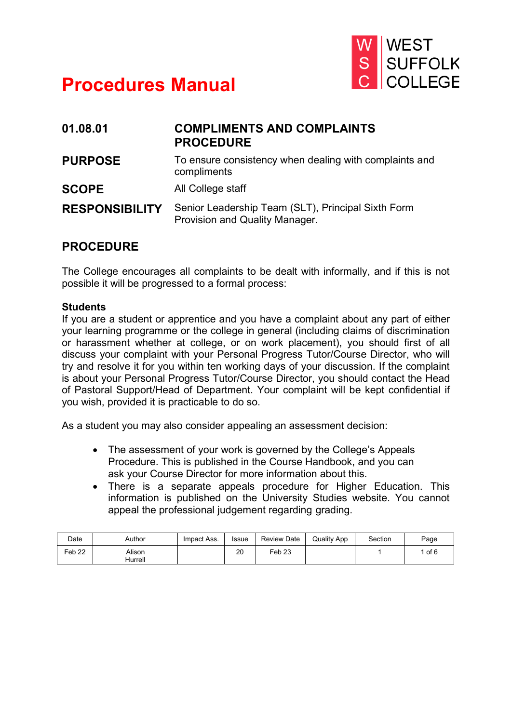

# **Procedures Manual**

| 01.08.01              | <b>COMPLIMENTS AND COMPLAINTS</b><br><b>PROCEDURE</b>                                |
|-----------------------|--------------------------------------------------------------------------------------|
| <b>PURPOSE</b>        | To ensure consistency when dealing with complaints and<br>compliments                |
| <b>SCOPE</b>          | All College staff                                                                    |
| <b>RESPONSIBILITY</b> | Senior Leadership Team (SLT), Principal Sixth Form<br>Provision and Quality Manager. |

## **PROCEDURE**

The College encourages all complaints to be dealt with informally, and if this is not possible it will be progressed to a formal process:

### **Students**

If you are a student or apprentice and you have a complaint about any part of either your learning programme or the college in general (including claims of discrimination or harassment whether at college, or on work placement), you should first of all discuss your complaint with your Personal Progress Tutor/Course Director, who will try and resolve it for you within ten working days of your discussion. If the complaint is about your Personal Progress Tutor/Course Director, you should contact the Head of Pastoral Support/Head of Department. Your complaint will be kept confidential if you wish, provided it is practicable to do so.

As a student you may also consider appealing an assessment decision:

- The assessment of your work is governed by the College's Appeals Procedure. This is published in the Course Handbook, and you can ask your Course Director for more information about this.
- There is a separate appeals procedure for Higher Education. This information is published on the University Studies website. You cannot appeal the professional judgement regarding grading.

| Date   | Author            | Impact Ass. | <b>Issue</b> | Review Date | <b>Quality App</b> | Section | Page |
|--------|-------------------|-------------|--------------|-------------|--------------------|---------|------|
| Feb 22 | Alison<br>Hurrell |             | 20           | Feb 23      |                    |         | of 6 |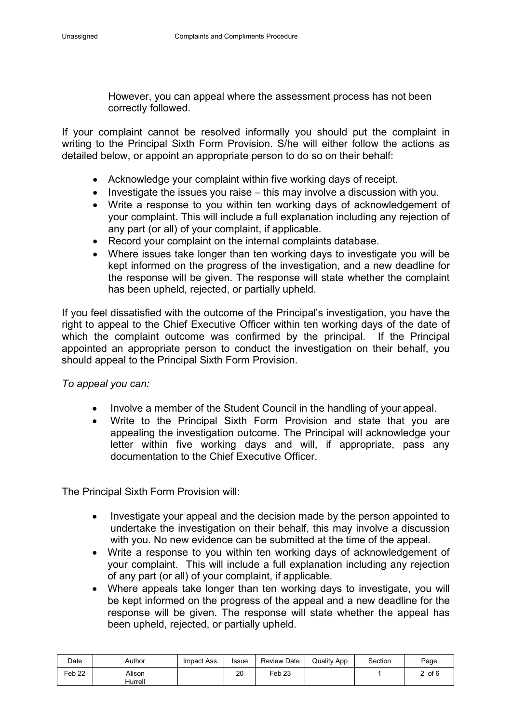However, you can appeal where the assessment process has not been correctly followed.

If your complaint cannot be resolved informally you should put the complaint in writing to the Principal Sixth Form Provision. S/he will either follow the actions as detailed below, or appoint an appropriate person to do so on their behalf:

- Acknowledge your complaint within five working days of receipt.
- Investigate the issues you raise this may involve a discussion with you.
- Write a response to you within ten working days of acknowledgement of your complaint. This will include a full explanation including any rejection of any part (or all) of your complaint, if applicable.
- Record your complaint on the internal complaints database.
- Where issues take longer than ten working days to investigate you will be kept informed on the progress of the investigation, and a new deadline for the response will be given. The response will state whether the complaint has been upheld, rejected, or partially upheld.

If you feel dissatisfied with the outcome of the Principal's investigation, you have the right to appeal to the Chief Executive Officer within ten working days of the date of which the complaint outcome was confirmed by the principal. If the Principal appointed an appropriate person to conduct the investigation on their behalf, you should appeal to the Principal Sixth Form Provision.

*To appeal you can:*

- Involve a member of the Student Council in the handling of your appeal.
- Write to the Principal Sixth Form Provision and state that you are appealing the investigation outcome. The Principal will acknowledge your letter within five working days and will, if appropriate, pass any documentation to the Chief Executive Officer.

The Principal Sixth Form Provision will:

- Investigate your appeal and the decision made by the person appointed to undertake the investigation on their behalf, this may involve a discussion with you. No new evidence can be submitted at the time of the appeal.
- Write a response to you within ten working days of acknowledgement of your complaint. This will include a full explanation including any rejection of any part (or all) of your complaint, if applicable.
- Where appeals take longer than ten working days to investigate, you will be kept informed on the progress of the appeal and a new deadline for the response will be given. The response will state whether the appeal has been upheld, rejected, or partially upheld.

| Date   | Author            | Impact Ass. | <b>Issue</b> | Review Date | <b>Quality App</b> | Section | Page       |
|--------|-------------------|-------------|--------------|-------------|--------------------|---------|------------|
| Feb 22 | Alison<br>Hurrell |             | 20           | Feb 23      |                    |         | $2$ of $6$ |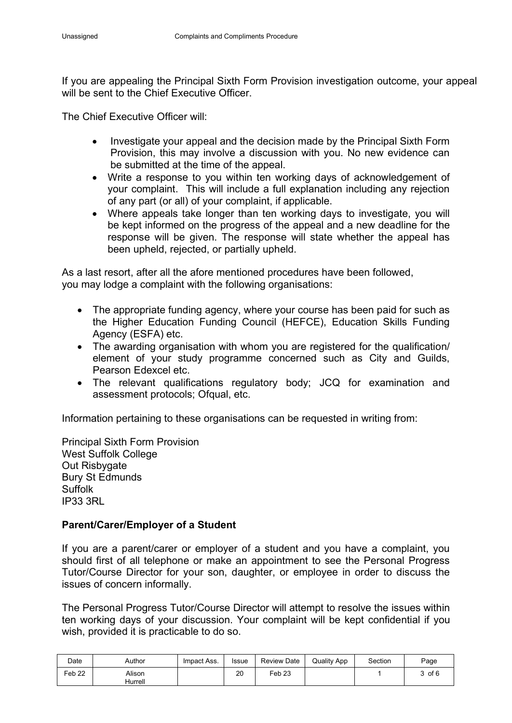If you are appealing the Principal Sixth Form Provision investigation outcome, your appeal will be sent to the Chief Executive Officer.

The Chief Executive Officer will:

- Investigate your appeal and the decision made by the Principal Sixth Form Provision, this may involve a discussion with you. No new evidence can be submitted at the time of the appeal.
- Write a response to you within ten working days of acknowledgement of your complaint. This will include a full explanation including any rejection of any part (or all) of your complaint, if applicable.
- Where appeals take longer than ten working days to investigate, you will be kept informed on the progress of the appeal and a new deadline for the response will be given. The response will state whether the appeal has been upheld, rejected, or partially upheld.

As a last resort, after all the afore mentioned procedures have been followed, you may lodge a complaint with the following organisations:

- The appropriate funding agency, where your course has been paid for such as the Higher Education Funding Council (HEFCE), Education Skills Funding Agency (ESFA) etc.
- The awarding organisation with whom you are registered for the qualification/ element of your study programme concerned such as City and Guilds, Pearson Edexcel etc.
- The relevant qualifications regulatory body; JCQ for examination and assessment protocols; Ofqual, etc.

Information pertaining to these organisations can be requested in writing from:

Principal Sixth Form Provision West Suffolk College Out Risbygate Bury St Edmunds Suffolk IP33 3RL

### **Parent/Carer/Employer of a Student**

If you are a parent/carer or employer of a student and you have a complaint, you should first of all telephone or make an appointment to see the Personal Progress Tutor/Course Director for your son, daughter, or employee in order to discuss the issues of concern informally.

The Personal Progress Tutor/Course Director will attempt to resolve the issues within ten working days of your discussion. Your complaint will be kept confidential if you wish, provided it is practicable to do so.

| Date   | Author            | Impact Ass. | <b>Issue</b> | <b>Review Date</b> | <b>Quality App</b> | Section | Page       |
|--------|-------------------|-------------|--------------|--------------------|--------------------|---------|------------|
| Feb 22 | Alison<br>Hurrell |             | 20           | Feb <sub>23</sub>  |                    |         | $3$ of $6$ |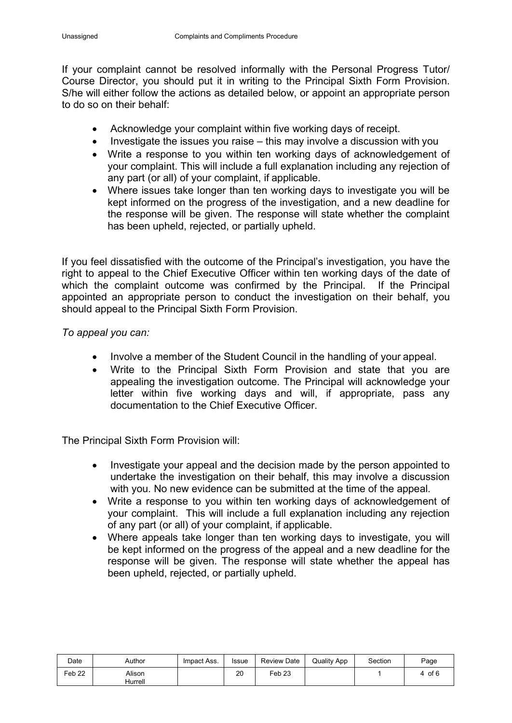If your complaint cannot be resolved informally with the Personal Progress Tutor/ Course Director, you should put it in writing to the Principal Sixth Form Provision. S/he will either follow the actions as detailed below, or appoint an appropriate person to do so on their behalf:

- Acknowledge your complaint within five working days of receipt.
- Investigate the issues you raise this may involve a discussion with you
- Write a response to you within ten working days of acknowledgement of your complaint. This will include a full explanation including any rejection of any part (or all) of your complaint, if applicable.
- Where issues take longer than ten working days to investigate you will be kept informed on the progress of the investigation, and a new deadline for the response will be given. The response will state whether the complaint has been upheld, rejected, or partially upheld.

If you feel dissatisfied with the outcome of the Principal's investigation, you have the right to appeal to the Chief Executive Officer within ten working days of the date of which the complaint outcome was confirmed by the Principal. If the Principal appointed an appropriate person to conduct the investigation on their behalf, you should appeal to the Principal Sixth Form Provision.

### *To appeal you can:*

- Involve a member of the Student Council in the handling of your appeal.
- Write to the Principal Sixth Form Provision and state that you are appealing the investigation outcome. The Principal will acknowledge your letter within five working days and will, if appropriate, pass any documentation to the Chief Executive Officer.

The Principal Sixth Form Provision will:

- Investigate your appeal and the decision made by the person appointed to undertake the investigation on their behalf, this may involve a discussion with you. No new evidence can be submitted at the time of the appeal.
- Write a response to you within ten working days of acknowledgement of your complaint. This will include a full explanation including any rejection of any part (or all) of your complaint, if applicable.
- Where appeals take longer than ten working days to investigate, you will be kept informed on the progress of the appeal and a new deadline for the response will be given. The response will state whether the appeal has been upheld, rejected, or partially upheld.

| Date   | Author            | Impact Ass. | <b>Issue</b> | <b>Review Date</b> | <b>Quality App</b> | Section | Page   |
|--------|-------------------|-------------|--------------|--------------------|--------------------|---------|--------|
| Feb 22 | Alison<br>Hurrell |             | 20           | Feb23              |                    |         | 4 of 6 |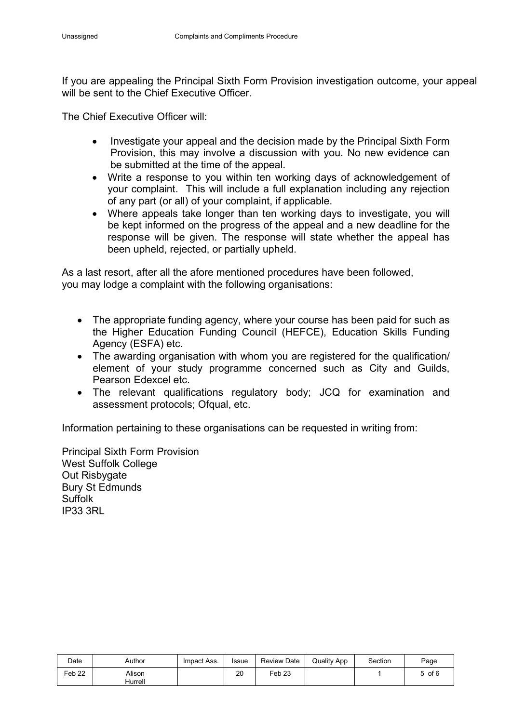If you are appealing the Principal Sixth Form Provision investigation outcome, your appeal will be sent to the Chief Executive Officer.

The Chief Executive Officer will:

- Investigate your appeal and the decision made by the Principal Sixth Form Provision, this may involve a discussion with you. No new evidence can be submitted at the time of the appeal.
- Write a response to you within ten working days of acknowledgement of your complaint. This will include a full explanation including any rejection of any part (or all) of your complaint, if applicable.
- Where appeals take longer than ten working days to investigate, you will be kept informed on the progress of the appeal and a new deadline for the response will be given. The response will state whether the appeal has been upheld, rejected, or partially upheld.

As a last resort, after all the afore mentioned procedures have been followed, you may lodge a complaint with the following organisations:

- The appropriate funding agency, where your course has been paid for such as the Higher Education Funding Council (HEFCE), Education Skills Funding Agency (ESFA) etc.
- The awarding organisation with whom you are registered for the qualification/ element of your study programme concerned such as City and Guilds, Pearson Edexcel etc.
- The relevant qualifications regulatory body; JCQ for examination and assessment protocols; Ofqual, etc.

Information pertaining to these organisations can be requested in writing from:

Principal Sixth Form Provision West Suffolk College Out Risbygate Bury St Edmunds Suffolk IP33 3RL

| Date              | Author            | Impact Ass. | <b>Issue</b> | <b>Review Date</b>  | <b>Quality App</b> | Section | Page       |
|-------------------|-------------------|-------------|--------------|---------------------|--------------------|---------|------------|
| Feb <sub>22</sub> | Alison<br>Hurrell |             | 20           | $\varepsilon$ eb 23 |                    |         | $5$ of $6$ |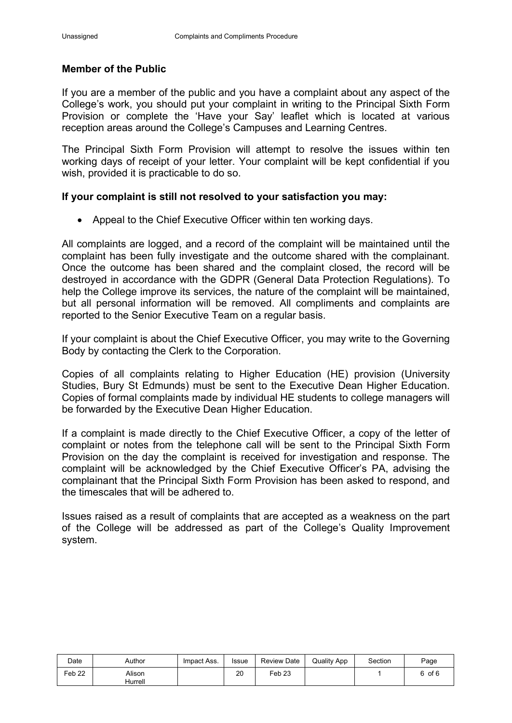#### **Member of the Public**

If you are a member of the public and you have a complaint about any aspect of the College's work, you should put your complaint in writing to the Principal Sixth Form Provision or complete the 'Have your Say' leaflet which is located at various reception areas around the College's Campuses and Learning Centres.

The Principal Sixth Form Provision will attempt to resolve the issues within ten working days of receipt of your letter. Your complaint will be kept confidential if you wish, provided it is practicable to do so.

#### **If your complaint is still not resolved to your satisfaction you may:**

• Appeal to the Chief Executive Officer within ten working days.

All complaints are logged, and a record of the complaint will be maintained until the complaint has been fully investigate and the outcome shared with the complainant. Once the outcome has been shared and the complaint closed, the record will be destroyed in accordance with the GDPR (General Data Protection Regulations). To help the College improve its services, the nature of the complaint will be maintained, but all personal information will be removed. All compliments and complaints are reported to the Senior Executive Team on a regular basis.

If your complaint is about the Chief Executive Officer, you may write to the Governing Body by contacting the Clerk to the Corporation.

Copies of all complaints relating to Higher Education (HE) provision (University Studies, Bury St Edmunds) must be sent to the Executive Dean Higher Education. Copies of formal complaints made by individual HE students to college managers will be forwarded by the Executive Dean Higher Education.

If a complaint is made directly to the Chief Executive Officer, a copy of the letter of complaint or notes from the telephone call will be sent to the Principal Sixth Form Provision on the day the complaint is received for investigation and response. The complaint will be acknowledged by the Chief Executive Officer's PA, advising the complainant that the Principal Sixth Form Provision has been asked to respond, and the timescales that will be adhered to.

Issues raised as a result of complaints that are accepted as a weakness on the part of the College will be addressed as part of the College's Quality Improvement system.

| Date              | Author            | Impact Ass. | <b>Issue</b> | Review Date | <b>Quality App</b> | Section | Page   |
|-------------------|-------------------|-------------|--------------|-------------|--------------------|---------|--------|
| Feb <sub>22</sub> | Alison<br>Hurrell |             | 20           | Feb 23      |                    |         | 6 of 6 |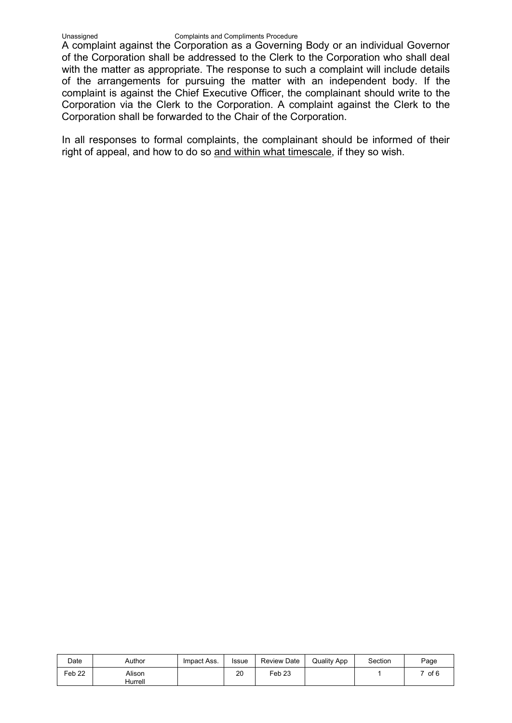#### Unassigned Complaints and Compliments Procedure

A complaint against the Corporation as a Governing Body or an individual Governor of the Corporation shall be addressed to the Clerk to the Corporation who shall deal with the matter as appropriate. The response to such a complaint will include details of the arrangements for pursuing the matter with an independent body. If the complaint is against the Chief Executive Officer, the complainant should write to the Corporation via the Clerk to the Corporation. A complaint against the Clerk to the Corporation shall be forwarded to the Chair of the Corporation.

In all responses to formal complaints, the complainant should be informed of their right of appeal, and how to do so and within what timescale, if they so wish.

| Date              | Author            | Impact Ass. | <b>Issue</b> | <b>Review Date</b> | <b>Quality App</b> | Section | Page   |
|-------------------|-------------------|-------------|--------------|--------------------|--------------------|---------|--------|
| Feb <sub>22</sub> | Alison<br>Hurrell |             | 20           | Feb 23             |                    |         | 7 of 6 |